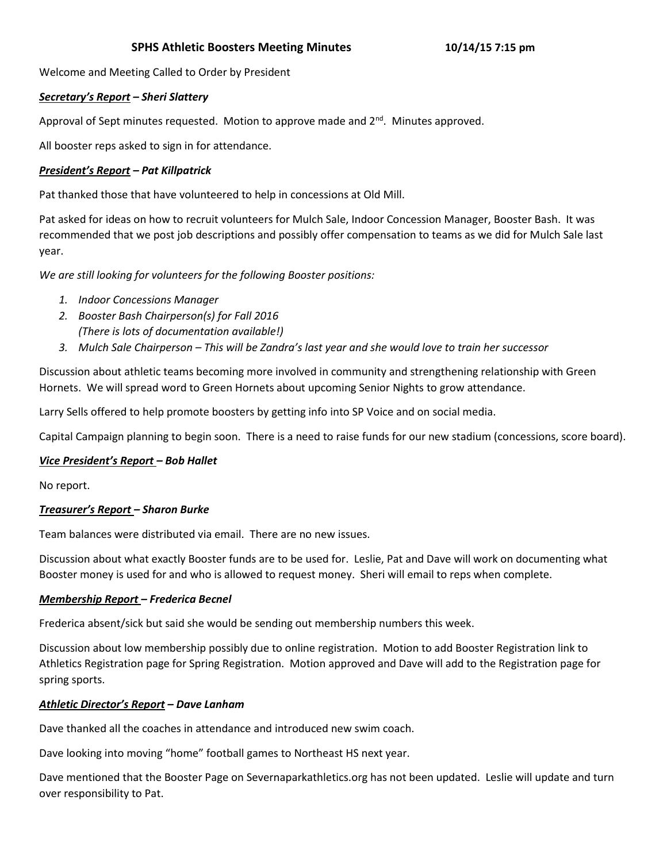# **SPHS Athletic Boosters Meeting Minutes 10/14/15 7:15 pm**

Welcome and Meeting Called to Order by President

#### *Secretary's Report – Sheri Slattery*

Approval of Sept minutes requested. Motion to approve made and  $2<sup>nd</sup>$ . Minutes approved.

All booster reps asked to sign in for attendance.

## *President's Report – Pat Killpatrick*

Pat thanked those that have volunteered to help in concessions at Old Mill.

Pat asked for ideas on how to recruit volunteers for Mulch Sale, Indoor Concession Manager, Booster Bash. It was recommended that we post job descriptions and possibly offer compensation to teams as we did for Mulch Sale last year.

*We are still looking for volunteers for the following Booster positions:*

- *1. Indoor Concessions Manager*
- *2. Booster Bash Chairperson(s) for Fall 2016 (There is lots of documentation available!)*
- *3. Mulch Sale Chairperson – This will be Zandra's last year and she would love to train her successor*

Discussion about athletic teams becoming more involved in community and strengthening relationship with Green Hornets. We will spread word to Green Hornets about upcoming Senior Nights to grow attendance.

Larry Sells offered to help promote boosters by getting info into SP Voice and on social media.

Capital Campaign planning to begin soon. There is a need to raise funds for our new stadium (concessions, score board).

#### *Vice President's Report – Bob Hallet*

No report.

#### *Treasurer's Report – Sharon Burke*

Team balances were distributed via email. There are no new issues.

Discussion about what exactly Booster funds are to be used for. Leslie, Pat and Dave will work on documenting what Booster money is used for and who is allowed to request money. Sheri will email to reps when complete.

#### *Membership Report – Frederica Becnel*

Frederica absent/sick but said she would be sending out membership numbers this week.

Discussion about low membership possibly due to online registration. Motion to add Booster Registration link to Athletics Registration page for Spring Registration. Motion approved and Dave will add to the Registration page for spring sports.

#### *Athletic Director's Report – Dave Lanham*

Dave thanked all the coaches in attendance and introduced new swim coach.

Dave looking into moving "home" football games to Northeast HS next year.

Dave mentioned that the Booster Page on Severnaparkathletics.org has not been updated. Leslie will update and turn over responsibility to Pat.